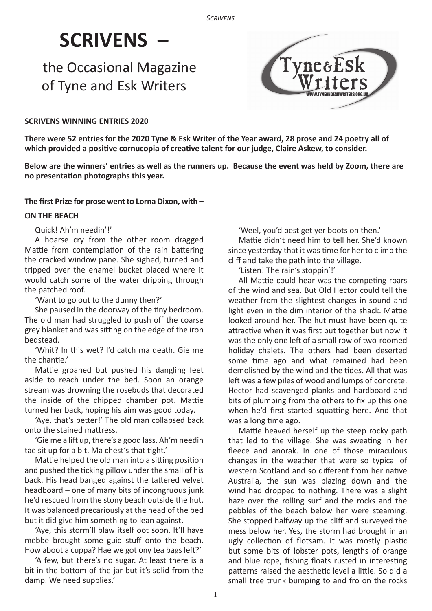# **SCRIVENS** –

# the Occasional Magazine of Tyne and Esk Writers



# **SCRIVENS WINNING ENTRIES 2020**

**There were 52 entries for the 2020 Tyne & Esk Writer of the Year award, 28 prose and 24 poetry all of which provided a positive cornucopia of creative talent for our judge, Claire Askew, to consider.**

**Below are the winners' entries as well as the runners up. Because the event was held by Zoom, there are no presentation photographs this year.**

#### **The first Prize for prose went to Lorna Dixon, with –**

#### **ON THE BEACH**

Quick! Ah'm needin'!'

A hoarse cry from the other room dragged Mattie from contemplation of the rain battering the cracked window pane. She sighed, turned and tripped over the enamel bucket placed where it would catch some of the water dripping through the patched roof.

'Want to go out to the dunny then?'

She paused in the doorway of the tiny bedroom. The old man had struggled to push off the coarse grey blanket and was sitting on the edge of the iron bedstead.

'Whit? In this wet? I'd catch ma death. Gie me the chantie.'

Mattie groaned but pushed his dangling feet aside to reach under the bed. Soon an orange stream was drowning the rosebuds that decorated the inside of the chipped chamber pot. Mattie turned her back, hoping his aim was good today.

'Aye, that's better!' The old man collapsed back onto the stained mattress.

'Gie me a lift up, there's a good lass. Ah'm needin tae sit up for a bit. Ma chest's that tight.'

Mattie helped the old man into a sitting position and pushed the ticking pillow under the small of his back. His head banged against the tattered velvet headboard – one of many bits of incongruous junk he'd rescued from the stony beach outside the hut. It was balanced precariously at the head of the bed but it did give him something to lean against.

'Aye, this storm'll blaw itself oot soon. It'll have mebbe brought some guid stuff onto the beach. How aboot a cuppa? Hae we got ony tea bags left?'

'A few, but there's no sugar. At least there is a bit in the bottom of the jar but it's solid from the damp. We need supplies.'

'Weel, you'd best get yer boots on then.'

Mattie didn't need him to tell her. She'd known since yesterday that it was time for her to climb the cliff and take the path into the village.

'Listen! The rain's stoppin'!'

All Mattie could hear was the competing roars of the wind and sea. But Old Hector could tell the weather from the slightest changes in sound and light even in the dim interior of the shack. Mattie looked around her. The hut must have been quite attractive when it was first put together but now it was the only one left of a small row of two-roomed holiday chalets. The others had been deserted some time ago and what remained had been demolished by the wind and the tides. All that was left was a few piles of wood and lumps of concrete. Hector had scavenged planks and hardboard and bits of plumbing from the others to fix up this one when he'd first started squatting here. And that was a long time ago.

Mattie heaved herself up the steep rocky path that led to the village. She was sweating in her fleece and anorak. In one of those miraculous changes in the weather that were so typical of western Scotland and so different from her native Australia, the sun was blazing down and the wind had dropped to nothing. There was a slight haze over the rolling surf and the rocks and the pebbles of the beach below her were steaming. She stopped halfway up the cliff and surveyed the mess below her. Yes, the storm had brought in an ugly collection of flotsam. It was mostly plastic but some bits of lobster pots, lengths of orange and blue rope, fishing floats rusted in interesting patterns raised the aesthetic level a little. So did a small tree trunk bumping to and fro on the rocks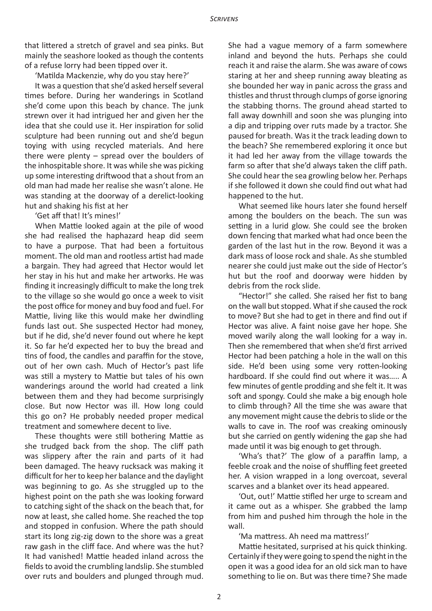that littered a stretch of gravel and sea pinks. But mainly the seashore looked as though the contents of a refuse lorry had been tipped over it.

'Matilda Mackenzie, why do you stay here?'

It was a question that she'd asked herself several times before. During her wanderings in Scotland she'd come upon this beach by chance. The junk strewn over it had intrigued her and given her the idea that she could use it. Her inspiration for solid sculpture had been running out and she'd begun toying with using recycled materials. And here there were plenty – spread over the boulders of the inhospitable shore. It was while she was picking up some interesting driftwood that a shout from an old man had made her realise she wasn't alone. He was standing at the doorway of a derelict-looking hut and shaking his fist at her

'Get aff that! It's mines!'

When Mattie looked again at the pile of wood she had realised the haphazard heap did seem to have a purpose. That had been a fortuitous moment. The old man and rootless artist had made a bargain. They had agreed that Hector would let her stay in his hut and make her artworks. He was finding it increasingly difficult to make the long trek to the village so she would go once a week to visit the post office for money and buy food and fuel. For Mattie, living like this would make her dwindling funds last out. She suspected Hector had money, but if he did, she'd never found out where he kept it. So far he'd expected her to buy the bread and tins of food, the candles and paraffin for the stove, out of her own cash. Much of Hector's past life was still a mystery to Mattie but tales of his own wanderings around the world had created a link between them and they had become surprisingly close. But now Hector was ill. How long could this go on? He probably needed proper medical treatment and somewhere decent to live.

These thoughts were still bothering Mattie as she trudged back from the shop. The cliff path was slippery after the rain and parts of it had been damaged. The heavy rucksack was making it difficult for her to keep her balance and the daylight was beginning to go. As she struggled up to the highest point on the path she was looking forward to catching sight of the shack on the beach that, for now at least, she called home. She reached the top and stopped in confusion. Where the path should start its long zig-zig down to the shore was a great raw gash in the cliff face. And where was the hut? It had vanished! Mattie headed inland across the fields to avoid the crumbling landslip. She stumbled over ruts and boulders and plunged through mud. She had a vague memory of a farm somewhere inland and beyond the huts. Perhaps she could reach it and raise the alarm. She was aware of cows staring at her and sheep running away bleating as she bounded her way in panic across the grass and thistles and thrust through clumps of gorse ignoring the stabbing thorns. The ground ahead started to fall away downhill and soon she was plunging into a dip and tripping over ruts made by a tractor. She paused for breath. Was it the track leading down to the beach? She remembered exploring it once but it had led her away from the village towards the farm so after that she'd always taken the cliff path. She could hear the sea growling below her. Perhaps if she followed it down she could find out what had happened to the hut.

What seemed like hours later she found herself among the boulders on the beach. The sun was setting in a lurid glow. She could see the broken down fencing that marked what had once been the garden of the last hut in the row. Beyond it was a dark mass of loose rock and shale. As she stumbled nearer she could just make out the side of Hector's hut but the roof and doorway were hidden by debris from the rock slide.

"Hector!" she called. She raised her fist to bang on the wall but stopped. What if she caused the rock to move? But she had to get in there and find out if Hector was alive. A faint noise gave her hope. She moved warily along the wall looking for a way in. Then she remembered that when she'd first arrived Hector had been patching a hole in the wall on this side. He'd been using some very rotten-looking hardboard. If she could find out where it was….. A few minutes of gentle prodding and she felt it. It was soft and spongy. Could she make a big enough hole to climb through? All the time she was aware that any movement might cause the debris to slide or the walls to cave in. The roof was creaking ominously but she carried on gently widening the gap she had made until it was big enough to get through.

'Wha's that?' The glow of a paraffin lamp, a feeble croak and the noise of shuffling feet greeted her. A vision wrapped in a long overcoat, several scarves and a blanket over its head appeared.

'Out, out!' Mattie stifled her urge to scream and it came out as a whisper. She grabbed the lamp from him and pushed him through the hole in the wall.

'Ma mattress. Ah need ma mattress!'

Mattie hesitated, surprised at his quick thinking. Certainly if they were going to spend the night in the open it was a good idea for an old sick man to have something to lie on. But was there time? She made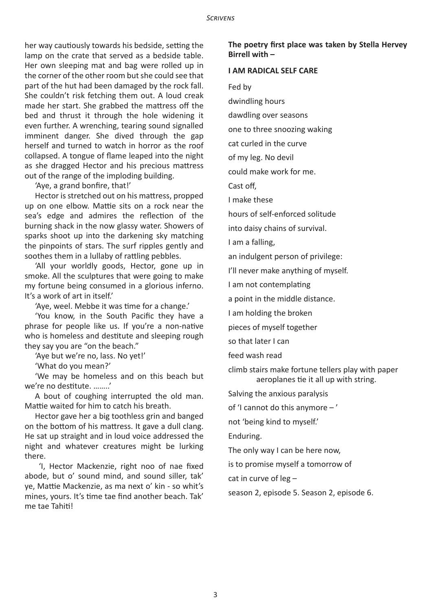her way cautiously towards his bedside, setting the lamp on the crate that served as a bedside table. Her own sleeping mat and bag were rolled up in the corner of the other room but she could see that part of the hut had been damaged by the rock fall. She couldn't risk fetching them out. A loud creak made her start. She grabbed the mattress off the bed and thrust it through the hole widening it even further. A wrenching, tearing sound signalled imminent danger. She dived through the gap herself and turned to watch in horror as the roof collapsed. A tongue of flame leaped into the night as she dragged Hector and his precious mattress out of the range of the imploding building.

'Aye, a grand bonfire, that!'

Hector is stretched out on his mattress, propped up on one elbow. Mattie sits on a rock near the sea's edge and admires the reflection of the burning shack in the now glassy water. Showers of sparks shoot up into the darkening sky matching the pinpoints of stars. The surf ripples gently and soothes them in a lullaby of rattling pebbles.

'All your worldly goods, Hector, gone up in smoke. All the sculptures that were going to make my fortune being consumed in a glorious inferno. It's a work of art in itself.'

'Aye, weel. Mebbe it was time for a change.'

'You know, in the South Pacific they have a phrase for people like us. If you're a non-native who is homeless and destitute and sleeping rough they say you are "on the beach."

'Aye but we're no, lass. No yet!'

'What do you mean?'

'We may be homeless and on this beach but we're no destitute. ……..'

A bout of coughing interrupted the old man. Mattie waited for him to catch his breath.

Hector gave her a big toothless grin and banged on the bottom of his mattress. It gave a dull clang. He sat up straight and in loud voice addressed the night and whatever creatures might be lurking there.

 'I, Hector Mackenzie, right noo of nae fixed abode, but o' sound mind, and sound siller, tak' ye, Mattie Mackenzie, as ma next o' kin - so whit's mines, yours. It's time tae find another beach. Tak' me tae Tahiti!

**The poetry first place was taken by Stella Hervey Birrell with –**

#### **I AM RADICAL SELF CARE**

Fed by

dwindling hours

dawdling over seasons

one to three snoozing waking

cat curled in the curve

of my leg. No devil

could make work for me.

Cast off,

I make these

hours of self-enforced solitude

into daisy chains of survival.

I am a falling,

an indulgent person of privilege:

I'll never make anything of myself.

I am not contemplating

a point in the middle distance.

I am holding the broken

pieces of myself together

so that later I can

feed wash read

climb stairs make fortune tellers play with paper aeroplanes tie it all up with string.

Salving the anxious paralysis

of 'I cannot do this anymore – '

not 'being kind to myself.'

Enduring.

The only way I can be here now,

is to promise myself a tomorrow of

cat in curve of leg –

season 2, episode 5. Season 2, episode 6.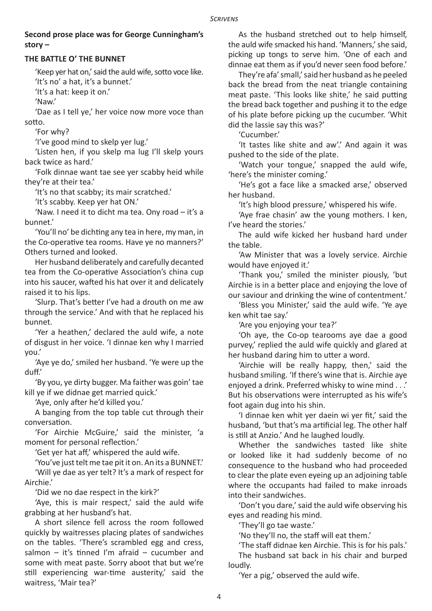# **Second prose place was for George Cunningham's story –**

### **THE BATTLE O' THE BUNNET**

'Keep yer hat on,' said the auld wife, sotto voce like. 'It's no' a hat, it's a bunnet.'

'It's a hat: keep it on.'

'Naw.'

'Dae as I tell ye,' her voice now more voce than sotto.

'For why?

'I've good mind to skelp yer lug.'

'Listen hen, if you skelp ma lug I'll skelp yours back twice as hard.'

'Folk dinnae want tae see yer scabby heid while they're at their tea.'

'It's no that scabby; its mair scratched.'

'It's scabby. Keep yer hat ON.'

'Naw. I need it to dicht ma tea. Ony road – it's a bunnet.'

'You'll no' be dichting any tea in here, my man, in the Co-operative tea rooms. Have ye no manners?' Others turned and looked.

Her husband deliberately and carefully decanted tea from the Co-operative Association's china cup into his saucer, wafted his hat over it and delicately raised it to his lips.

'Slurp. That's better I've had a drouth on me aw through the service.' And with that he replaced his bunnet.

'Yer a heathen,' declared the auld wife, a note of disgust in her voice. 'I dinnae ken why I married you.'

'Aye ye do,' smiled her husband. 'Ye were up the duff.'

'By you, ye dirty bugger. Ma faither was goin' tae kill ye if we didnae get married quick.'

'Aye, only after he'd killed you.'

A banging from the top table cut through their conversation.

'For Airchie McGuire,' said the minister, 'a moment for personal reflection.'

'Get yer hat aff,' whispered the auld wife.

'You've just telt me tae pit it on. An its a BUNNET.'

'Will ye dae as yer telt? It's a mark of respect for Airchie.'

'Did we no dae respect in the kirk?'

'Aye, this is mair respect,' said the auld wife grabbing at her husband's hat.

A short silence fell across the room followed quickly by waitresses placing plates of sandwiches on the tables. 'There's scrambled egg and cress, salmon – it's tinned I'm afraid – cucumber and some with meat paste. Sorry aboot that but we're still experiencing war-time austerity,' said the waitress, 'Mair tea?'

As the husband stretched out to help himself, the auld wife smacked his hand. 'Manners,' she said, picking up tongs to serve him. 'One of each and dinnae eat them as if you'd never seen food before.'

They're afa' small,' said her husband as he peeled back the bread from the neat triangle containing meat paste. 'This looks like shite,' he said putting the bread back together and pushing it to the edge of his plate before picking up the cucumber. 'Whit did the lassie say this was?'

'Cucumber.'

'It tastes like shite and aw'.' And again it was pushed to the side of the plate.

'Watch your tongue,' snapped the auld wife, 'here's the minister coming.'

'He's got a face like a smacked arse,' observed her husband.

'It's high blood pressure,' whispered his wife.

'Aye frae chasin' aw the young mothers. I ken, I've heard the stories.'

The auld wife kicked her husband hard under the table.

'Aw Minister that was a lovely service. Airchie would have enjoyed it.'

'Thank you,' smiled the minister piously, 'but Airchie is in a better place and enjoying the love of our saviour and drinking the wine of contentment.'

'Bless you Minister,' said the auld wife. 'Ye aye ken whit tae say.'

'Are you enjoying your tea?'

'Oh aye, the Co-op tearooms aye dae a good purvey,' replied the auld wife quickly and glared at her husband daring him to utter a word.

'Airchie will be really happy, then,' said the husband smiling. 'If there's wine that is. Airchie aye enjoyed a drink. Preferred whisky to wine mind . . .' But his observations were interrupted as his wife's foot again dug into his shin.

'I dinnae ken whit yer daein wi yer fit,' said the husband, 'but that's ma artificial leg. The other half is still at Anzio.' And he laughed loudly.

Whether the sandwiches tasted like shite or looked like it had suddenly become of no consequence to the husband who had proceeded to clear the plate even eyeing up an adjoining table where the occupants had failed to make inroads into their sandwiches.

'Don't you dare,' said the auld wife observing his eyes and reading his mind.

'They'll go tae waste.'

'No they'll no, the staff will eat them.'

'The staff didnae ken Airchie. This is for his pals.' The husband sat back in his chair and burped loudly.

'Yer a pig,' observed the auld wife.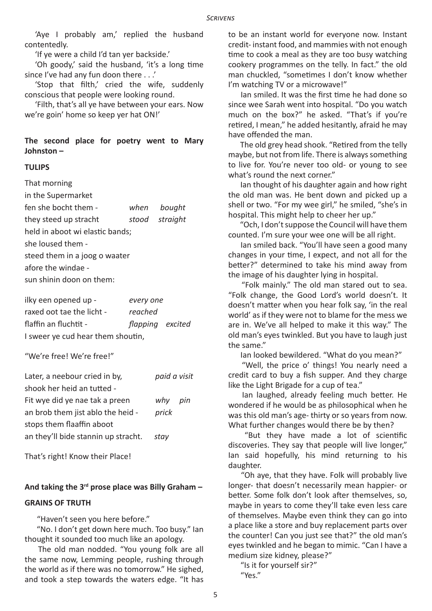'Aye I probably am,' replied the husband contentedly.

'If ye were a child I'd tan yer backside.'

'Oh goody,' said the husband, 'it's a long time since I've had any fun doon there . . .'

'Stop that filth,' cried the wife, suddenly conscious that people were looking round.

'Filth, that's all ye have between your ears. Now we're goin' home so keep yer hat ON!'

**The second place for poetry went to Mary Johnston –** 

#### **TULIPS**

That morning

| in the Supermarket              |  |                |  |  |
|---------------------------------|--|----------------|--|--|
| fen she bocht them -            |  | when bought    |  |  |
| they steed up stracht           |  | stood straight |  |  |
| held in aboot wi elastic bands; |  |                |  |  |
| she loused them -               |  |                |  |  |
| steed them in a joog o waater   |  |                |  |  |
| afore the windae -              |  |                |  |  |
| sun shinin doon on them:        |  |                |  |  |

| ilky een opened up -              | every one        |  |  |  |
|-----------------------------------|------------------|--|--|--|
| raxed oot tae the licht -         | reached          |  |  |  |
| flaffin an fluchtit -             | flapping excited |  |  |  |
| I sweer ye cud hear them shoutin, |                  |  |  |  |

"We're free! We're free!"

| Later, a neebour cried in by,       | paid a visit |     |
|-------------------------------------|--------------|-----|
| shook her heid an tutted -          |              |     |
| Fit wye did ye nae tak a preen      | why          | pin |
| an brob them jist ablo the heid -   | prick        |     |
| stops them flaaffin aboot           |              |     |
| an they'll bide stannin up stracht. | stav         |     |

That's right! Know their Place!

#### **And taking the 3rd prose place was Billy Graham –**

#### **GRAINS OF TRUTH**

"Haven't seen you here before."

 "No. I don't get down here much. Too busy." Ian thought it sounded too much like an apology.

 The old man nodded. "You young folk are all the same now, Lemming people, rushing through the world as if there was no tomorrow." He sighed, and took a step towards the waters edge. "It has to be an instant world for everyone now. Instant credit- instant food, and mammies with not enough time to cook a meal as they are too busy watching cookery programmes on the telly. In fact." the old man chuckled, "sometimes I don't know whether I'm watching TV or a microwave!"

 Ian smiled. It was the first time he had done so since wee Sarah went into hospital. "Do you watch much on the box?" he asked. "That's if you're retired, I mean," he added hesitantly, afraid he may have offended the man.

 The old grey head shook. "Retired from the telly maybe, but not from life. There is always something to live for. You're never too old- or young to see what's round the next corner."

 Ian thought of his daughter again and how right the old man was. He bent down and picked up a shell or two. "For my wee girl," he smiled, "she's in hospital. This might help to cheer her up."

 "Och, I don't suppose the Council will have them counted. I'm sure your wee one will be all right.

 Ian smiled back. "You'll have seen a good many changes in your time, I expect, and not all for the better?" determined to take his mind away from the image of his daughter lying in hospital.

 "Folk mainly." The old man stared out to sea. "Folk change, the Good Lord's world doesn't. It doesn't matter when you hear folk say, 'in the real world' as if they were not to blame for the mess we are in. We've all helped to make it this way." The old man's eyes twinkled. But you have to laugh just the same."

Ian looked bewildered. "What do you mean?"

 "Well, the price o' things! You nearly need a credit card to buy a fish supper. And they charge like the Light Brigade for a cup of tea."

 Ian laughed, already feeling much better. He wondered if he would be as philosophical when he was this old man's age- thirty or so years from now. What further changes would there be by then?

 "But they have made a lot of scientific discoveries. They say that people will live longer," Ian said hopefully, his mind returning to his daughter.

 "Oh aye, that they have. Folk will probably live longer- that doesn't necessarily mean happier- or better. Some folk don't look after themselves, so, maybe in years to come they'll take even less care of themselves. Maybe even think they can go into a place like a store and buy replacement parts over the counter! Can you just see that?" the old man's eyes twinkled and he began to mimic. "Can I have a medium size kidney, please?"

 "Is it for yourself sir?" "Yes."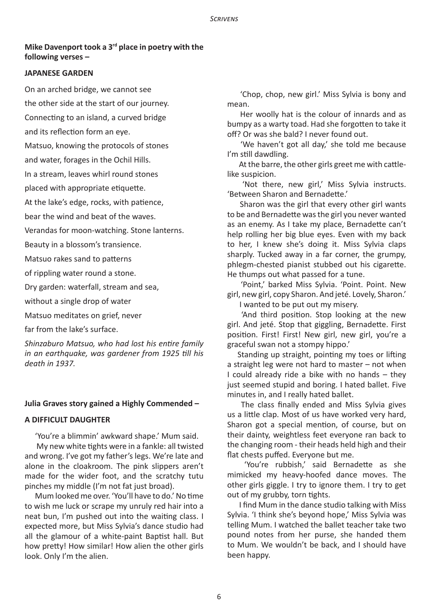### **Mike Davenport took a 3rd place in poetry with the following verses –**

#### **JAPANESE GARDEN**

On an arched bridge, we cannot see

the other side at the start of our journey.

Connecting to an island, a curved bridge

and its reflection form an eye.

Matsuo, knowing the protocols of stones

and water, forages in the Ochil Hills.

In a stream, leaves whirl round stones

placed with appropriate etiquette.

At the lake's edge, rocks, with patience,

bear the wind and beat of the waves.

Verandas for moon-watching. Stone lanterns.

Beauty in a blossom's transience.

Matsuo rakes sand to patterns

of rippling water round a stone.

Dry garden: waterfall, stream and sea,

without a single drop of water

Matsuo meditates on grief, never

far from the lake's surface.

*Shinzaburo Matsuo, who had lost his entire family in an earthquake, was gardener from 1925 till his death in 1937.*

#### **Julia Graves story gained a Highly Commended –**

#### **A DIFFICULT DAUGHTER**

'You're a blimmin' awkward shape.' Mum said.

 My new white tights were in a fankle: all twisted and wrong. I've got my father's legs. We're late and alone in the cloakroom. The pink slippers aren't made for the wider foot, and the scratchy tutu pinches my middle (I'm not fat just broad).

Mum looked me over. 'You'll have to do.' No time to wish me luck or scrape my unruly red hair into a neat bun, I'm pushed out into the waiting class. I expected more, but Miss Sylvia's dance studio had all the glamour of a white-paint Baptist hall. But how pretty! How similar! How alien the other girls look. Only I'm the alien.

 'Chop, chop, new girl.' Miss Sylvia is bony and mean.

 Her woolly hat is the colour of innards and as bumpy as a warty toad. Had she forgotten to take it off? Or was she bald? I never found out.

 'We haven't got all day,' she told me because I'm still dawdling.

 At the barre, the other girls greet me with cattlelike suspicion.

'Not there, new girl,' Miss Sylvia instructs. 'Between Sharon and Bernadette.'

 Sharon was the girl that every other girl wants to be and Bernadette was the girl you never wanted as an enemy. As I take my place, Bernadette can't help rolling her big blue eyes. Even with my back to her, I knew she's doing it. Miss Sylvia claps sharply. Tucked away in a far corner, the grumpy, phlegm-chested pianist stubbed out his cigarette. He thumps out what passed for a tune.

 'Point,' barked Miss Sylvia. 'Point. Point. New girl, new girl, copy Sharon. And jeté. Lovely, Sharon.'

I wanted to be put out my misery.

 'And third position. Stop looking at the new girl. And jeté. Stop that giggling, Bernadette. First position. First! First! New girl, new girl, you're a graceful swan not a stompy hippo.'

Standing up straight, pointing my toes or lifting a straight leg were not hard to master – not when I could already ride a bike with no hands – they just seemed stupid and boring. I hated ballet. Five minutes in, and I really hated ballet.

 The class finally ended and Miss Sylvia gives us a little clap. Most of us have worked very hard, Sharon got a special mention, of course, but on their dainty, weightless feet everyone ran back to the changing room - their heads held high and their flat chests puffed. Everyone but me.

 'You're rubbish,' said Bernadette as she mimicked my heavy-hoofed dance moves. The other girls giggle. I try to ignore them. I try to get out of my grubby, torn tights.

 I find Mum in the dance studio talking with Miss Sylvia. 'I think she's beyond hope,' Miss Sylvia was telling Mum. I watched the ballet teacher take two pound notes from her purse, she handed them to Mum. We wouldn't be back, and I should have been happy.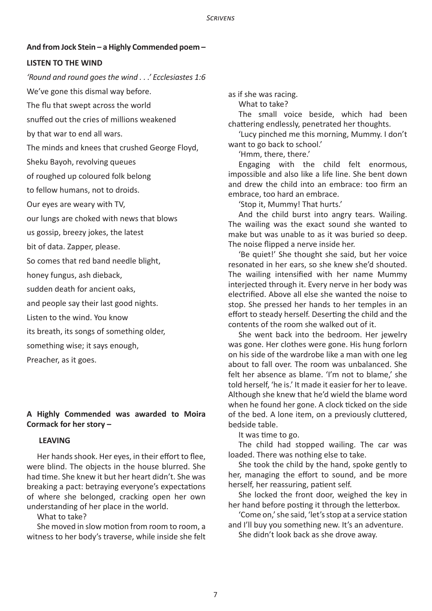#### **And from Jock Stein – a Highly Commended poem –**

#### **LISTEN TO THE WIND**

*'Round and round goes the wind . . .' Ecclesiastes 1:6*

We've gone this dismal way before.

The flu that swept across the world

snuffed out the cries of millions weakened

by that war to end all wars.

The minds and knees that crushed George Floyd,

Sheku Bayoh, revolving queues

of roughed up coloured folk belong

to fellow humans, not to droids.

Our eyes are weary with TV,

our lungs are choked with news that blows

us gossip, breezy jokes, the latest

bit of data. Zapper, please.

So comes that red band needle blight,

honey fungus, ash dieback,

sudden death for ancient oaks,

and people say their last good nights.

Listen to the wind. You know

its breath, its songs of something older,

something wise; it says enough,

Preacher, as it goes.

# **A Highly Commended was awarded to Moira Cormack for her story –**

#### **LEAVING**

Her hands shook. Her eyes, in their effort to flee, were blind. The objects in the house blurred. She had time. She knew it but her heart didn't. She was breaking a pact: betraying everyone's expectations of where she belonged, cracking open her own understanding of her place in the world.

What to take?

She moved in slow motion from room to room, a witness to her body's traverse, while inside she felt as if she was racing.

What to take?

The small voice beside, which had been chattering endlessly, penetrated her thoughts.

'Lucy pinched me this morning, Mummy. I don't want to go back to school.'

'Hmm, there, there.'

Engaging with the child felt enormous, impossible and also like a life line. She bent down and drew the child into an embrace: too firm an embrace, too hard an embrace.

'Stop it, Mummy! That hurts.'

And the child burst into angry tears. Wailing. The wailing was the exact sound she wanted to make but was unable to as it was buried so deep. The noise flipped a nerve inside her.

'Be quiet!' She thought she said, but her voice resonated in her ears, so she knew she'd shouted. The wailing intensified with her name Mummy interjected through it. Every nerve in her body was electrified. Above all else she wanted the noise to stop. She pressed her hands to her temples in an effort to steady herself. Deserting the child and the contents of the room she walked out of it.

She went back into the bedroom. Her jewelry was gone. Her clothes were gone. His hung forlorn on his side of the wardrobe like a man with one leg about to fall over. The room was unbalanced. She felt her absence as blame. 'I'm not to blame,' she told herself, 'he is.' It made it easier for her to leave. Although she knew that he'd wield the blame word when he found her gone. A clock ticked on the side of the bed. A lone item, on a previously cluttered, bedside table.

It was time to go.

The child had stopped wailing. The car was loaded. There was nothing else to take.

She took the child by the hand, spoke gently to her, managing the effort to sound, and be more herself, her reassuring, patient self.

She locked the front door, weighed the key in her hand before posting it through the letterbox.

'Come on,' she said, 'let's stop at a service station and I'll buy you something new. It's an adventure.

She didn't look back as she drove away.